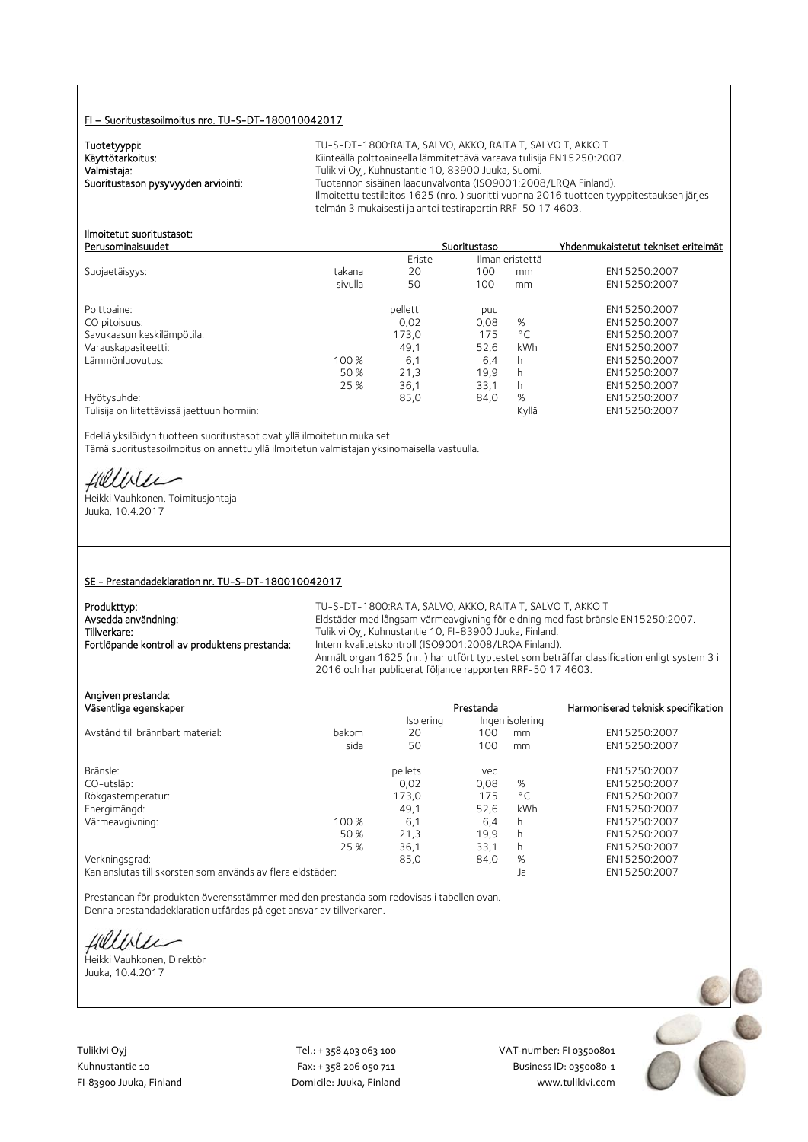#### FI – Suoritustasoilmoitus nro. TU-S-DT-180010042017

Tuotetyyppi:<br>Käyttötarkoitus:

TU-S-DT-1800:RAITA, SALVO, AKKO, RAITA T, SALVO T, AKKO T Kiinteällä polttoaineella lämmitettävä varaava tulisija EN15250:2007. Valmistaja: Valmistaja: Tulikivi Oyj, Kuhnustantie 10, 83900 Juuka, Suomi.<br>2008–1008 Tuotannon sisäinen laadunvalvonta (ISO9001:2008) Tuotannon sisäinen laadunvalvonta (ISO9001:2008/LRQA Finland). Ilmoitettu testilaitos 1625 (nro. ) suoritti vuonna 2016 tuotteen tyyppitestauksen järjestelmän 3 mukaisesti ja antoi testiraportin RRF-50 17 4603.

#### Ilmoitetut suoritustasot: Perusominaisuudet Suoritustaso Yhdenmukaistetut tekniset eritelmät

|                                             |         | Eriste   |      | Ilman eristettä |              |
|---------------------------------------------|---------|----------|------|-----------------|--------------|
| Suojaetäisyys:                              | takana  | 20       | 100  | mm              | EN15250:2007 |
|                                             | sivulla | 50       | 100  | mm              | EN15250:2007 |
| Polttoaine:                                 |         | pelletti | puu  |                 | EN15250:2007 |
| CO pitoisuus:                               |         | 0.02     | 0,08 | %               | EN15250:2007 |
| Savukaasun keskilämpötila:                  |         | 173,0    | 175  | $^{\circ}$ C    | EN15250:2007 |
| Varauskapasiteetti:                         |         | 49.1     | 52.6 | kWh             | EN15250:2007 |
| Lämmönluovutus:                             | 100 %   | 6,1      | 6,4  | h               | EN15250:2007 |
|                                             | 50 %    | 21,3     | 19.9 | h               | EN15250:2007 |
|                                             | 25 %    | 36,1     | 33,1 | h               | EN15250:2007 |
| Hyötysuhde:                                 |         | 85,0     | 84,0 | %               | EN15250:2007 |
| Tulisija on liitettävissä jaettuun hormiin: |         |          |      | Kyllä           | EN15250:2007 |

Edellä yksilöidyn tuotteen suoritustasot ovat yllä ilmoitetun mukaiset. Tämä suoritustasoilmoitus on annettu yllä ilmoitetun valmistajan yksinomaisella vastuulla.

Hillble

Heikki Vauhkonen, Toimitusjohtaja Juuka, 10.4.2017

#### SE - Prestandadeklaration nr. TU-S-DT-180010042017

| Produkttyp:                                   | TU-S-DT-1800:RAITA. SALVO. AKKO. RAITA T. SALVO T. AKKO T                                   |
|-----------------------------------------------|---------------------------------------------------------------------------------------------|
| Avsedda användning:                           | Eldstäder med långsam värmeavgivning för eldning med fast bränsle EN15250:2007.             |
| Tillverkare:                                  | Tulikivi Oyj, Kuhnustantie 10, FI-83900 Juuka, Finland.                                     |
| Fortlöpande kontroll av produktens prestanda: | Intern kvalitetskontroll (ISO9001:2008/LRQA Finland).                                       |
|                                               | Anmält organ 1625 (nr.) har utfört typtestet som beträffar classification enligt system 3 i |
|                                               | 2016 och har publicerat följande rapporten RRF-50 17 4603.                                  |

Angiven prestanda:

| Aliyivcii prestaliya.                                      |       |           |           |                 |                                    |
|------------------------------------------------------------|-------|-----------|-----------|-----------------|------------------------------------|
| Väsentliga egenskaper                                      |       |           | Prestanda |                 | Harmoniserad teknisk specifikation |
|                                                            |       | Isolering |           | Ingen isolering |                                    |
| Avstånd till brännbart material:                           | bakom | 20        | 100       | mm              | EN15250:2007                       |
|                                                            | sida  | 50        | 100       | mm              | EN15250:2007                       |
| Bränsle:                                                   |       | pellets   | ved       |                 | EN15250:2007                       |
| CO-utsläp:                                                 |       | 0.02      | 0.08      | %               | EN15250:2007                       |
| Rökgastemperatur:                                          |       | 173,0     | 175       | $^{\circ}$ C    | EN15250:2007                       |
| Energimängd:                                               |       | 49.1      | 52.6      | kWh             | EN15250:2007                       |
| Värmeavgivning:                                            | 100 % | 6,1       | 6,4       | h               | EN15250:2007                       |
|                                                            | 50 %  | 21,3      | 19,9      | h               | EN15250:2007                       |
|                                                            | 25 %  | 36,1      | 33,1      | h               | EN15250:2007                       |
| Verkningsgrad:                                             |       | 85.0      | 84,0      | %               | EN15250:2007                       |
| Kan anslutas till skorsten som används av flera eldstäder: |       |           |           | Ja              | EN15250:2007                       |

Prestandan för produkten överensstämmer med den prestanda som redovisas i tabellen ovan. Denna prestandadeklaration utfärdas på eget ansvar av tillverkaren.

fielliter

Heikki Vauhkonen, Direktör Juuka, 10.4.2017

Tulikivi Oyj Tel.: + 358 403 063 100 VAT‐number: FI 03500801

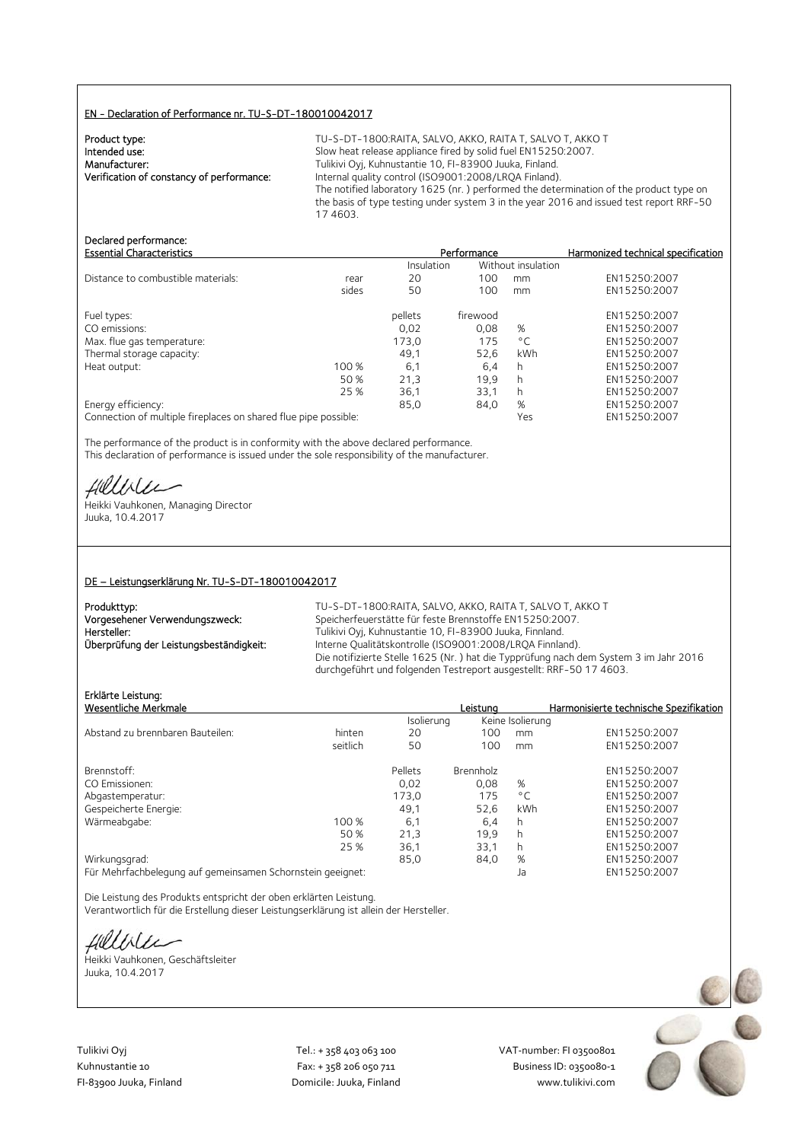#### EN - Declaration of Performance nr. TU-S-DT-180010042017

| Product type:                             |  |
|-------------------------------------------|--|
| Intended use:                             |  |
| Manufacturer:                             |  |
| Verification of constancy of performance: |  |
|                                           |  |

TU-S-DT-1800:RAITA, SALVO, AKKO, RAITA T, SALVO T, AKKO T Slow heat release appliance fired by solid fuel EN15250:2007. Tulikivi Oyj, Kuhnustantie 10, FI-83900 Juuka, Finland. Internal quality control (ISO9001:2008/LRQA Finland). The notified laboratory 1625 (nr. ) performed the determination of the product type on the basis of type testing under system 3 in the year 2016 and issued test report RRF-50 17 4603.

# Declared performance:<br>Essential Characteristics

| <b>Essential Characteristics</b>   |       | Performance |          | Harmonized technical specification |              |
|------------------------------------|-------|-------------|----------|------------------------------------|--------------|
|                                    |       | Insulation  |          | Without insulation                 |              |
| Distance to combustible materials: | rear  | 20          | 100      | mm                                 | EN15250:2007 |
|                                    | sides | 50          | 100      | mm                                 | EN15250:2007 |
| Fuel types:                        |       | pellets     | firewood |                                    | EN15250:2007 |
| CO emissions:                      |       | 0.02        | 0.08     | %                                  | EN15250:2007 |
| Max. flue gas temperature:         |       | 173,0       | 175      | $^{\circ}$ C                       | EN15250:2007 |
| Thermal storage capacity:          |       | 49.1        | 52,6     | kWh                                | EN15250:2007 |
| Heat output:                       | 100 % | 6,1         | 6,4      | h                                  | EN15250:2007 |
|                                    | 50 %  | 21,3        | 19,9     | h                                  | EN15250:2007 |
|                                    | 25 %  | 36,1        | 33,1     | h                                  | EN15250:2007 |
| Energy efficiency:                 |       | 85,0        | 84,0     | %                                  | EN15250:2007 |
|                                    |       |             |          |                                    |              |

Connection of multiple fireplaces on shared flue pipe possible: Yes EN15250:2007

The performance of the product is in conformity with the above declared performance. This declaration of performance is issued under the sole responsibility of the manufacturer.

Hillvier

Heikki Vauhkonen, Managing Director Juuka, 10.4.2017

#### DE – Leistungserklärung Nr. TU-S-DT-180010042017

| Produkttyp:                             | ΤU. |
|-----------------------------------------|-----|
| Vorgesehener Verwendungszweck:          | Sp  |
| Hersteller:                             | Τu  |
| Überprüfung der Leistungsbeständigkeit: | Int |
|                                         | n:  |

-S-DT-1800:RAITA, SALVO, AKKO, RAITA T, SALVO T, AKKO T veicherfeuerstätte für feste Brennstoffe EN15250:2007. Ilikivi Oyj, Kuhnustantie 10, FI-83900 Juuka, Finnland. terne Qualitätskontrolle (ISO9001:2008/LRQA Finnland). Die notifizierte Stelle 1625 (Nr. ) hat die Typprüfung nach dem System 3 im Jahr 2016 durchgeführt und folgenden Testreport ausgestellt: RRF-50 17 4603.

# Erklärte Leistung:

| Erklärte Leistung:                                         |          |            |                  |                  |                                        |
|------------------------------------------------------------|----------|------------|------------------|------------------|----------------------------------------|
| Wesentliche Merkmale                                       |          |            | Leistuna         |                  | Harmonisierte technische Spezifikation |
|                                                            |          | Isolierung |                  | Keine Isolierung |                                        |
| Abstand zu brennbaren Bauteilen:                           | hinten   | 20         | 100              | mm               | EN15250:2007                           |
|                                                            | seitlich | 50         | 100              | mm               | EN15250:2007                           |
| Brennstoff:                                                |          | Pellets    | <b>Brennholz</b> |                  | EN15250:2007                           |
| CO Emissionen:                                             |          | 0.02       | 0.08             | %                | EN15250:2007                           |
| Abgastemperatur:                                           |          | 173,0      | 175              | $^{\circ}$ C     | EN15250:2007                           |
| Gespeicherte Energie:                                      |          | 49.1       | 52.6             | kWh              | EN15250:2007                           |
| Wärmeabgabe:                                               | 100 %    | 6,1        | 6,4              | h.               | EN15250:2007                           |
|                                                            | 50 %     | 21,3       | 19.9             | h.               | EN15250:2007                           |
|                                                            | 25 %     | 36,1       | 33.1             | h.               | EN15250:2007                           |
| Wirkungsgrad:                                              |          | 85,0       | 84,0             | %                | EN15250:2007                           |
| Für Mehrfachbelegung auf gemeinsamen Schornstein geeignet: |          |            |                  | Ja               | EN15250:2007                           |

Die Leistung des Produkts entspricht der oben erklärten Leistung. Verantwortlich für die Erstellung dieser Leistungserklärung ist allein der Hersteller.

Helliler

Heikki Vauhkonen, Geschäftsleiter Juuka, 10.4.2017



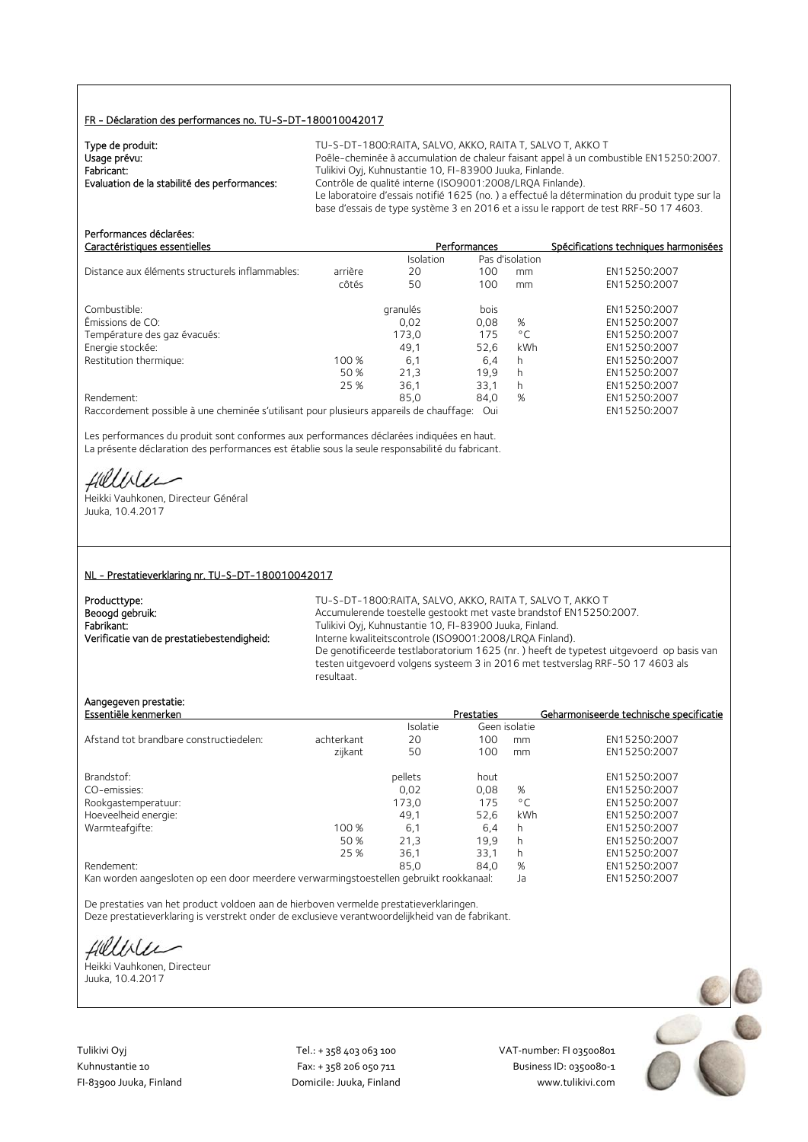#### FR - Déclaration des performances no. TU-S-DT-180010042017

| Type de produit:                             | TU-S-DT-1800:RAITA, SALVO, AKKO, RAITA T, SALVO T, AKKO T                                     |
|----------------------------------------------|-----------------------------------------------------------------------------------------------|
| Usage prévu:                                 | Poêle-cheminée à accumulation de chaleur faisant appel à un combustible EN15250:2007.         |
| Fabricant:                                   | Tulikivi Oyj, Kuhnustantie 10, FI-83900 Juuka, Finlande.                                      |
| Evaluation de la stabilité des performances: | Contrôle de qualité interne (ISO9001:2008/LROA Finlande).                                     |
|                                              | Le laboratoire d'essais notifié 1625 (no.) a effectué la détermination du produit type sur la |
|                                              | base d'essais de type système 3 en 2016 et a issu le rapport de test RRF-50 17 4603.          |

| Performances déclarées:<br>Caractéristiques essentielles                                |         |           | Performances |                 | Spécifications techniques harmonisées |
|-----------------------------------------------------------------------------------------|---------|-----------|--------------|-----------------|---------------------------------------|
|                                                                                         |         | Isolation |              | Pas d'isolation |                                       |
| Distance aux éléments structurels inflammables:                                         | arrière | 20        | 100          | mm              | EN15250:2007                          |
|                                                                                         | côtés   | 50        | 100          | mm              | EN15250:2007                          |
| Combustible:                                                                            |         | granulés  | bois         |                 | EN15250:2007                          |
| Émissions de CO:                                                                        |         | 0,02      | 0,08         | %               | EN15250:2007                          |
| Température des gaz évacués:                                                            |         | 173.0     | 175          | $^{\circ}$ C    | EN15250:2007                          |
| Energie stockée:                                                                        |         | 49,1      | 52.6         | kWh             | EN15250:2007                          |
| Restitution thermique:                                                                  | 100 %   | 6,1       | 6,4          | h               | EN15250:2007                          |
|                                                                                         | 50 %    | 21.3      | 19,9         | h               | EN15250:2007                          |
|                                                                                         | 25 %    | 36.1      | 33.1         | h               | EN15250:2007                          |
| Rendement:                                                                              |         | 85,0      | 84,0         | %               | EN15250:2007                          |
| Raccordement possible à une cheminée s'utilisant pour plusieurs appareils de chauffage: |         |           | Oui          |                 | EN15250:2007                          |

Les performances du produit sont conformes aux performances déclarées indiquées en haut. La présente déclaration des performances est établie sous la seule responsabilité du fabricant.

Hillble

Heikki Vauhkonen, Directeur Général Juuka, 10.4.2017

#### NL - Prestatieverklaring nr. TU-S-DT-180010042017

| Producttype:                               |
|--------------------------------------------|
| Beoogd gebruik:                            |
| Fabrikant:                                 |
| Verificatie van de prestatiebestendigheid: |

TU-S-DT-1800:RAITA, SALVO, AKKO, RAITA T, SALVO T, AKKO T Accumulerende toestelle gestookt met vaste brandstof EN15250:2007. Fabrikant: Tulikivi Oyj, Kuhnustantie 10, FI-83900 Juuka, Finland. Interne kwaliteitscontrole (ISO9001:2008/LRQA Finland). De genotificeerde testlaboratorium 1625 (nr. ) heeft de typetest uitgevoerd op basis van testen uitgevoerd volgens systeem 3 in 2016 met testverslag RRF-50 17 4603 als resultaat.

## Aangegeven prestatie:

| Essentiële kenmerken                    |            |          | <b>Prestaties</b> |               | Geharmoniseerde technische specificatie |
|-----------------------------------------|------------|----------|-------------------|---------------|-----------------------------------------|
|                                         |            | Isolatie |                   | Geen isolatie |                                         |
| Afstand tot brandbare constructiedelen: | achterkant | 20       | 100               | mm            | EN15250:2007                            |
|                                         | zijkant    | 50       | 100               | mm            | EN15250:2007                            |
| Brandstof:                              |            | pellets  | hout              |               | EN15250:2007                            |
| CO-emissies:                            |            | 0.02     | 0.08              | %             | EN15250:2007                            |
| Rookgastemperatuur:                     |            | 173,0    | 175               | $^{\circ}$ C  | EN15250:2007                            |
| Hoeveelheid energie:                    |            | 49.1     | 52.6              | kWh           | EN15250:2007                            |
| Warmteafgifte:                          | 100 %      | 6,1      | 6.4               | h             | EN15250:2007                            |
|                                         | 50 %       | 21.3     | 19.9              | h             | EN15250:2007                            |
|                                         | 25 %       | 36,1     | 33,1              |               | EN15250:2007                            |
| Rendement:                              |            | 85.0     | 84,0              | %             | EN15250:2007                            |
|                                         |            |          |                   |               |                                         |

Kan worden aangesloten op een door meerdere verwarmingstoestellen gebruikt rookkanaal: Ja EN15250:2007

De prestaties van het product voldoen aan de hierboven vermelde prestatieverklaringen. Deze prestatieverklaring is verstrekt onder de exclusieve verantwoordelijkheid van de fabrikant.

Hillble

Heikki Vauhkonen, Directeur Juuka, 10.4.2017

Tulikivi Oyj Tel.: + 358 403 063 100 VAT‐number: FI 03500801

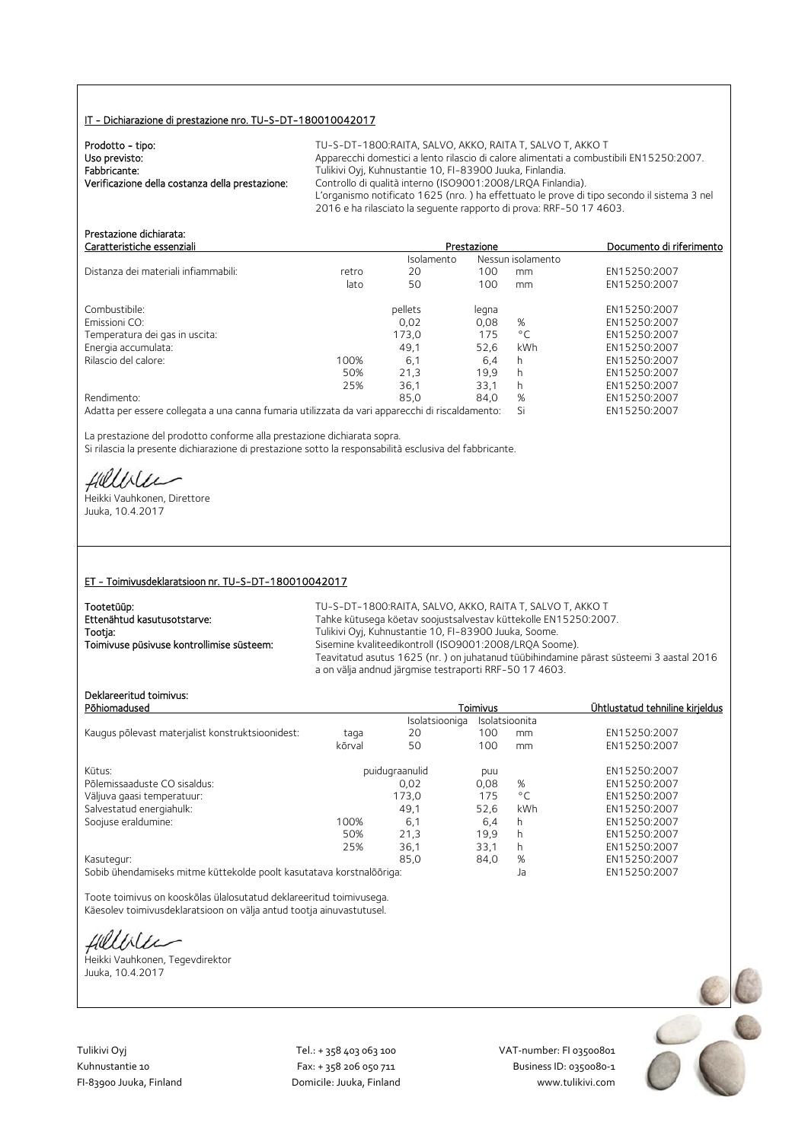## IT - Dichiarazione di prestazione nro. TU-S-DT-180010042017

| Prodotto - tipo:                                | TU-S-DT-1800:RAITA. SALVO. AKKO. RAITA T. SALVO T. AKKO T                                  |
|-------------------------------------------------|--------------------------------------------------------------------------------------------|
| Uso previsto:                                   | Apparecchi domestici a lento rilascio di calore alimentati a combustibili EN15250:2007.    |
| Fabbricante:                                    | Tulikivi Oyj, Kuhnustantie 10, FI-83900 Juuka, Finlandia.                                  |
| Verificazione della costanza della prestazione: | Controllo di qualità interno (ISO9001:2008/LRQA Finlandia).                                |
|                                                 | L'organismo notificato 1625 (nro.) ha effettuato le prove di tipo secondo il sistema 3 nel |
|                                                 | 2016 e ha rilasciato la seguente rapporto di prova: RRF-50 17 4603.                        |

| Prestazione dichiarata:<br>Caratteristiche essenziali                                           |       |            | Prestazione       |              | Documento di riferimento |
|-------------------------------------------------------------------------------------------------|-------|------------|-------------------|--------------|--------------------------|
|                                                                                                 |       | Isolamento | Nessun isolamento |              |                          |
| Distanza dei materiali infiammabili:                                                            | retro | 20         | 100               | mm           | EN15250:2007             |
|                                                                                                 | lato  | 50         | 100               | mm           | EN15250:2007             |
| Combustibile:                                                                                   |       | pellets    | legna             |              | EN15250:2007             |
| Emissioni CO:                                                                                   |       | 0.02       | 0.08              | %            | EN15250:2007             |
| Temperatura dei gas in uscita:                                                                  |       | 173.0      | 175               | $^{\circ}$ C | EN15250:2007             |
| Energia accumulata:                                                                             |       | 49,1       | 52.6              | <b>kWh</b>   | EN15250:2007             |
| Rilascio del calore:                                                                            | 100%  | 6.1        | 6.4               | h            | EN15250:2007             |
|                                                                                                 | 50%   | 21.3       | 19.9              | h            | EN15250:2007             |
|                                                                                                 | 25%   | 36,1       | 33.1              | h.           | EN15250:2007             |
| Rendimento:                                                                                     |       | 85.0       | 84.0              | %            | EN15250:2007             |
| Adatta per essere collegata a una canna fumaria utilizzata da vari apparecchi di riscaldamento: |       |            |                   | Si           | EN15250:2007             |

La prestazione del prodotto conforme alla prestazione dichiarata sopra. Si rilascia la presente dichiarazione di prestazione sotto la responsabilità esclusiva del fabbricante.

Hillble

Heikki Vauhkonen, Direttore Juuka, 10.4.2017

#### ET - Toimivusdeklaratsioon nr. TU-S-DT-180010042017

| Tootetüüp:                                | TU-S-DT-1800:RAITA, SALVO, AKKO, RAITA T, SALVO T, AKKO T                                                                                        |
|-------------------------------------------|--------------------------------------------------------------------------------------------------------------------------------------------------|
| Ettenähtud kasutusotstarve:               | Tahke kütusega köetav soojustsalvestav küttekolle EN15250:2007.                                                                                  |
| Tootja:                                   | Tulikivi Oyj, Kuhnustantie 10, FI-83900 Juuka, Soome.                                                                                            |
| Toimivuse püsivuse kontrollimise süsteem: | Sisemine kvaliteedikontroll (ISO9001:2008/LROA Soome).                                                                                           |
|                                           | Teavitatud asutus 1625 (nr.) on juhatanud tüübihindamine pärast süsteemi 3 aastal 2016<br>a on välja andnud järgmise testraporti RRF-50 17 4603. |

# Deklareeritud toimivus:

| Deklareeritud tõlmivus:<br>Põhiomadused                              |        |                | Toimivus |                | Ühtlustatud tehniline kirjeldus |
|----------------------------------------------------------------------|--------|----------------|----------|----------------|---------------------------------|
|                                                                      |        | Isolatsiooniga |          | Isolatsioonita |                                 |
| Kaugus põlevast materjalist konstruktsioonidest:                     | taga   | 20             | 100      | mm             | EN15250:2007                    |
|                                                                      | kõrval | 50             | 100      | mm             | EN15250:2007                    |
| Kütus:                                                               |        | puidugraanulid | puu      |                | EN15250:2007                    |
| Põlemissaaduste CO sisaldus:                                         |        | 0.02           | 0,08     | %              | EN15250:2007                    |
| Väljuva gaasi temperatuur:                                           |        | 173,0          | 175      | $^{\circ}$ C   | EN15250:2007                    |
| Salvestatud energiahulk:                                             |        | 49.1           | 52.6     | kWh            | EN15250:2007                    |
| Soojuse eraldumine:                                                  | 100%   | 6,1            | 6,4      | h              | EN15250:2007                    |
|                                                                      | 50%    | 21,3           | 19.9     | h              | EN15250:2007                    |
|                                                                      | 25%    | 36,1           | 33,1     | h              | EN15250:2007                    |
| Kasutegur:                                                           |        | 85.0           | 84,0     | %              | EN15250:2007                    |
| Sobib ühendamiseks mitme küttekolde poolt kasutatava korstnalõõriga: |        |                |          | Ja             | EN15250:2007                    |

Toote toimivus on kooskõlas ülalosutatud deklareeritud toimivusega. Käesolev toimivusdeklaratsioon on välja antud tootja ainuvastutusel.

fillble

Heikki Vauhkonen, Tegevdirektor Juuka, 10.4.2017

Tulikivi Oyj Tel.: + 358 403 063 100 VAT‐number: FI 03500801

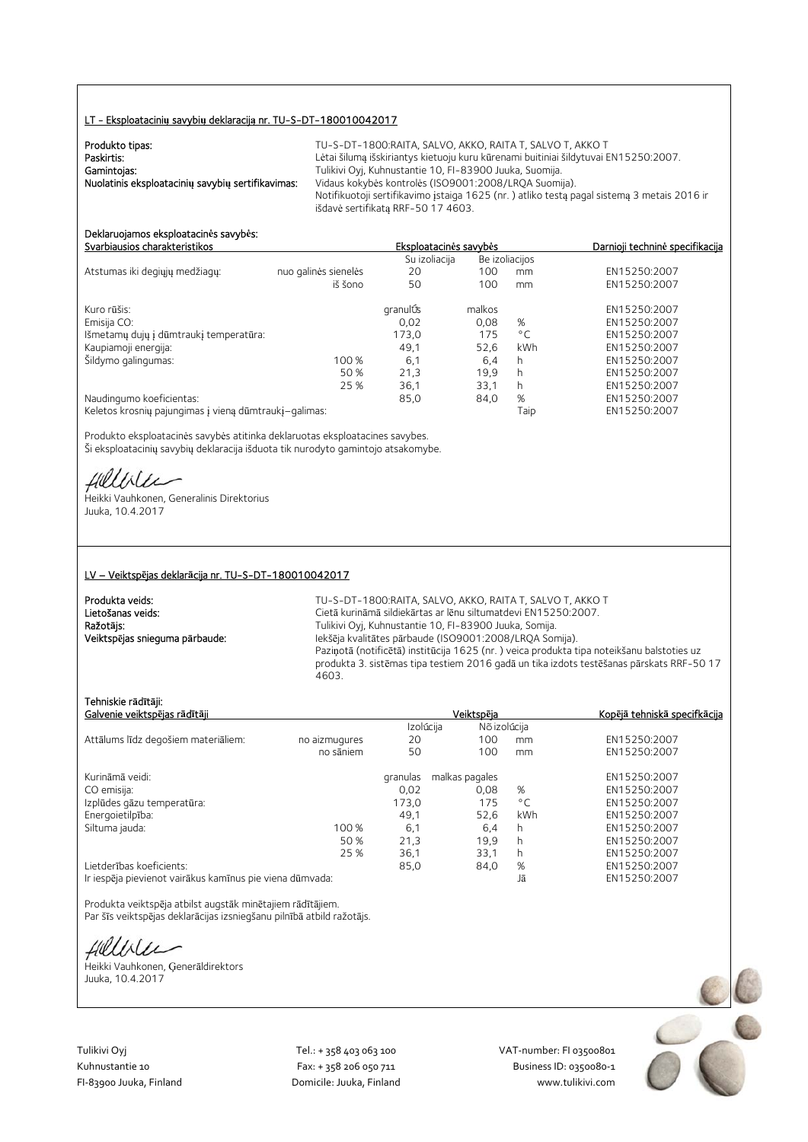#### LT - Eksploatacini**ų** savybi**ų** deklaracij**ą** nr. TU-S-DT-180010042017

| Produkto tipas:                                   | TU-S-DT-1800:RAITA. SALVO. AKKO. RAITA T. SALVO T. AKKO T                                  |
|---------------------------------------------------|--------------------------------------------------------------------------------------------|
| Paskirtis:                                        | Lėtai šilumą išskiriantys kietuoju kuru kūrenami buitiniai šildytuvai EN15250:2007.        |
| Gamintojas:                                       | Tulikivi Oyj, Kuhnustantie 10, FI-83900 Juuka, Suomija.                                    |
| Nuolatinis eksploatacinių savybių sertifikavimas: | Vidaus kokybės kontrolės (ISO9001:2008/LRQA Suomija).                                      |
|                                                   | Notifikuotoji sertifikavimo įstaiga 1625 (nr.) atliko testą pagal sistemą 3 metais 2016 ir |
|                                                   | išdavė sertifikata RRF-50 17 4603.                                                         |

#### Deklaruojamos eksploatacin**ė**s savyb**ė**s: Svarbiausios charakteristikos Eksploatacin**ė**s savyb**ė**s Darnioji technin**ė** specifikacija

|                                                       |                      | Su izoliacija |        | Be izoliacijos |              |
|-------------------------------------------------------|----------------------|---------------|--------|----------------|--------------|
| Atstumas iki degiųjų medžiagų:                        | nuo galinės sienelės | 20            | 100    | mm             | EN15250:2007 |
|                                                       | iš šono              | 50            | 100    | mm             | EN15250:2007 |
| Kuro rūšis:                                           |                      | granulÚs      | malkos |                | EN15250:2007 |
| Emisija CO:                                           |                      | 0,02          | 0,08   | %              | EN15250:2007 |
| Išmetamų dujų į dūmtraukį temperatūra:                |                      | 173,0         | 175    | $^{\circ}$ C   | EN15250:2007 |
| Kaupiamoji energija:                                  |                      | 49.1          | 52.6   | kWh            | EN15250:2007 |
| Šildymo galingumas:                                   | 100 %                | 6,1           | 6,4    | h              | EN15250:2007 |
|                                                       | 50 %                 | 21.3          | 19.9   | h              | EN15250:2007 |
|                                                       | 25 %                 | 36,1          | 33.1   | h              | EN15250:2007 |
| Naudingumo koeficientas:                              |                      | 85,0          | 84,0   | %              | EN15250:2007 |
| Keletos krosnių pajungimas į vieną dūmtraukį-galimas: |                      |               |        | Taip           | EN15250:2007 |

Produkto eksploatacinės savybės atitinka deklaruotas eksploatacines savybes. Ši eksploatacinių savybių deklaracija išduota tik nurodyto gamintojo atsakomybe.

fillblu

Heikki Vauhkonen, Generalinis Direktorius Juuka, 10.4.2017

#### LV – Veiktsp**ē**jas deklar**ā**cija nr. TU-S-DT-180010042017

| Produkta veids:                |  |
|--------------------------------|--|
| Lietošanas veids:              |  |
| Ražotājs:                      |  |
| Veiktspējas snieguma pārbaude: |  |

TU-S-DT-1800:RAITA, SALVO, AKKO, RAITA T, SALVO T, AKKO T Cietā kurināmā sildiekārtas ar lēnu siltumatdevi EN15250:2007. Tulikivi Oyj, Kuhnustantie 10, FI-83900 Juuka, Somija. Iekšēja kvalitātes pārbaude (ISO9001:2008/LRQA Somija). Paziņotā (notificētā) institūcija 1625 (nr. ) veica produkta tipa noteikšanu balstoties uz produkta 3. sistēmas tipa testiem 2016 gadā un tika izdots testēšanas pārskats RRF-50 17 4603.

### Tehniskie r**ā**d**ī**t**ā**ji:

| Galvenie veiktspējas rādītāji                            |               |           | Veiktspēja     |              | Kopējā tehniskā specifkācija |
|----------------------------------------------------------|---------------|-----------|----------------|--------------|------------------------------|
|                                                          |               | Izolúcija | Nõ izolúcija   |              |                              |
| Attālums līdz degošiem materiāliem:                      | no aizmugures | 20        | 100            | mm           | EN15250:2007                 |
|                                                          | no sāniem     | 50        | 100            | mm           | EN15250:2007                 |
| Kurināmā veidi:                                          |               | granulas  | malkas pagales |              | EN15250:2007                 |
| CO emisija:                                              |               | 0.02      | 0.08           | %            | EN15250:2007                 |
| Izplūdes gāzu temperatūra:                               |               | 173,0     | 175            | $^{\circ}$ C | EN15250:2007                 |
| Energoietilpība:                                         |               | 49,1      | 52,6           | kWh          | EN15250:2007                 |
| Siltuma jauda:                                           | 100 %         | 6,1       | 6,4            | h            | EN15250:2007                 |
|                                                          | 50 %          | 21.3      | 19.9           | h            | EN15250:2007                 |
|                                                          | 25 %          | 36,1      | 33,1           | h            | EN15250:2007                 |
| Lietderības koeficients:                                 |               | 85,0      | 84,0           | %            | EN15250:2007                 |
| Ir iespēja pievienot vairākus kamīnus pie viena dūmvada: |               |           |                | Jā           | EN15250:2007                 |

Produkta veiktspēja atbilst augstāk minētajiem rādītājiem. Par šīs veiktspējas deklarācijas izsniegšanu pilnībā atbild ražotājs.

Hillble

Heikki Vauhkonen, Ģenerāldirektors Juuka, 10.4.2017

Tulikivi Oyj Tel.: + 358 403 063 100 VAT‐number: FI 03500801

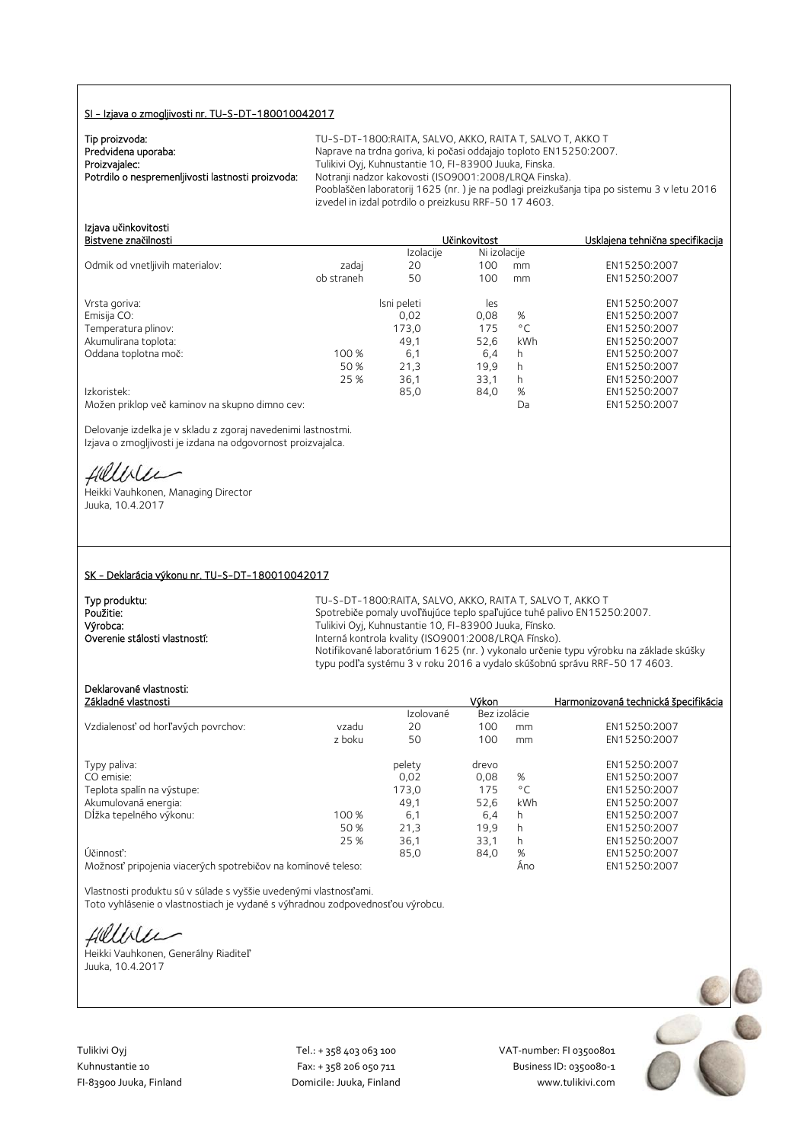### SI - Izjava o zmogljivosti nr. TU-S-DT-180010042017

| Tip proizvoda:                                    |  |
|---------------------------------------------------|--|
| Predvidena uporaba:                               |  |
| Proizvajalec:                                     |  |
| Potrdilo o nespremenljivosti lastnosti proizvoda: |  |

TU-S-DT-1800:RAITA, SALVO, AKKO, RAITA T, SALVO T, AKKO T Naprave na trdna goriva, ki počasi oddajajo toploto EN15250:2007. Tulikivi Oyj, Kuhnustantie 10, FI-83900 Juuka, Finska. Notranii nadzor kakovosti (ISO9001:2008/LROA Finska). Pooblaščen laboratorij 1625 (nr. ) je na podlagi preizkušanja tipa po sistemu 3 v letu 2016 izvedel in izdal potrdilo o preizkusu RRF-50 17 4603.

Ni izolacije

# Izjava u**č**inkovitosti Bistventigalnosti Usklajena tehnična specifikacija<br>Izolaciie Ni izolaciie

| Odmik od vnetljivih materialov:                | zadaj      | 20          | 100  | mm           | EN15250:2007 |
|------------------------------------------------|------------|-------------|------|--------------|--------------|
|                                                | ob straneh | 50          | 100  | mm           | EN15250:2007 |
| Vrsta goriva:                                  |            | Isni peleti | les  |              | EN15250:2007 |
| Emisija CO:                                    |            | 0,02        | 0,08 | %            | EN15250:2007 |
| Temperatura plinov:                            |            | 173,0       | 175  | $^{\circ}$ C | EN15250:2007 |
| Akumulirana toplota:                           |            | 49.1        | 52,6 | kWh          | EN15250:2007 |
| Oddana toplotna moč:                           | 100 %      | 6,1         | 6,4  | h            | EN15250:2007 |
|                                                | 50 %       | 21,3        | 19.9 | h            | EN15250:2007 |
|                                                | 25 %       | 36,1        | 33,1 | h            | EN15250:2007 |
| Izkoristek:                                    |            | 85,0        | 84,0 | %            | EN15250:2007 |
| Možen priklop več kaminov na skupno dimno cev: |            |             |      | Da           | EN15250:2007 |

Delovanje izdelka je v skladu z zgoraj navedenimi lastnostmi. Izjava o zmogljivosti je izdana na odgovornost proizvajalca.

Hillbler

Heikki Vauhkonen, Managing Director Juuka, 10.4.2017

#### SK - Deklarácia výkonu nr. TU-S-DT-180010042017

| Typ produktu:                 | $T11-S-$ |
|-------------------------------|----------|
| Použitie:                     | Spotre   |
| Výrobca:                      | Tulikivi |
| Overenie stálosti vlastností: | Interna  |
|                               |          |

DT-1800: RAITA, SALVO, AKKO, RAITA T, SALVO T, AKKO T biče pomaly uvoľňujúce teplo spaľujúce tuhé palivo EN15250:2007. i Oyj, Kuhnustantie 10, FI-83900 Juuka, Fínsko. á kontrola kvality (ISO9001:2008/LRQA Fínsko). Notifikované laboratórium 1625 (nr. ) vykonalo určenie typu výrobku na základe skúšky typu podľa systému 3 v roku 2016 a vydalo skúšobnú správu RRF-50 17 4603.

# Deklarované vlastnosti:

| Základné vlastnosti                |        |           | Výkon        |              | Harmonizovaná technická špecifikácia |
|------------------------------------|--------|-----------|--------------|--------------|--------------------------------------|
|                                    |        | Izolované | Bez izolácie |              |                                      |
| Vzdialenosť od horľavých povrchov: | vzadu  | 20        | 100          | mm           | EN15250:2007                         |
|                                    | z boku | 50        | 100          | mm           | EN15250:2007                         |
| Typy paliva:                       |        | pelety    | drevo        |              | EN15250:2007                         |
| CO emisie:                         |        | 0.02      | 0.08         | %            | EN15250:2007                         |
| Teplota spalín na výstupe:         |        | 173,0     | 175          | $^{\circ}$ C | EN15250:2007                         |
| Akumulovaná energia:               |        | 49,1      | 52,6         | kWh          | EN15250:2007                         |
| Dĺžka tepelného výkonu:            | 100 %  | 6,1       | 6,4          | h            | EN15250:2007                         |
|                                    | 50 %   | 21,3      | 19.9         | h            | EN15250:2007                         |
|                                    | 25 %   | 36.1      | 33.1         | h            | EN15250:2007                         |
| Účinnosť:                          |        | 85,0      | 84,0         | %            | EN15250:2007                         |
|                                    |        |           |              |              | $T$ MACOCOOOT                        |

Možnosť pripojenia viacerých spotrebičov na komínové teleso: Áno EN15250:2007

Vlastnosti produktu sú v súlade s vyššie uvedenými vlastnosťami. Toto vyhlásenie o vlastnostiach je vydané s výhradnou zodpovednosťou výrobcu.

fillise

Heikki Vauhkonen, Generálny Riaditeľ Juuka, 10.4.2017